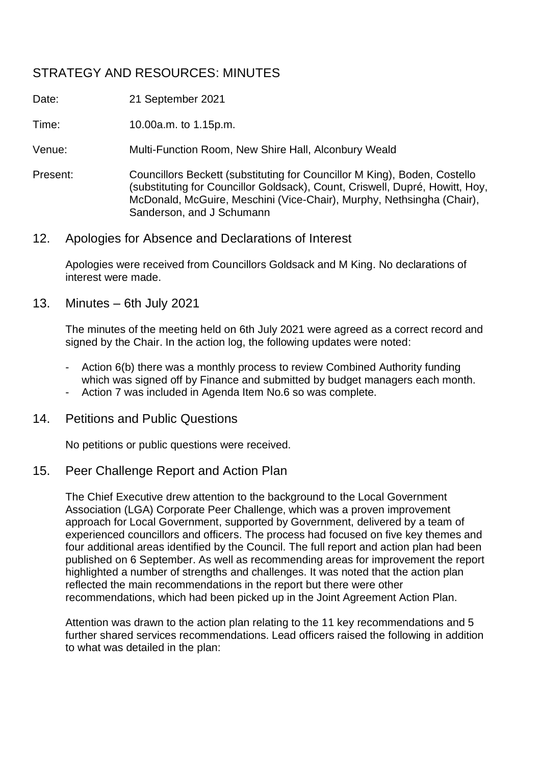# STRATEGY AND RESOURCES: MINUTES

Date: 21 September 2021

Time: 10.00a.m. to 1.15p.m.

Venue: Multi-Function Room, New Shire Hall, Alconbury Weald

Present: Councillors Beckett (substituting for Councillor M King), Boden, Costello (substituting for Councillor Goldsack), Count, Criswell, Dupré, Howitt, Hoy, McDonald, McGuire, Meschini (Vice-Chair), Murphy, Nethsingha (Chair), Sanderson, and J Schumann

### 12. Apologies for Absence and Declarations of Interest

Apologies were received from Councillors Goldsack and M King. No declarations of interest were made.

13. Minutes – 6th July 2021

The minutes of the meeting held on 6th July 2021 were agreed as a correct record and signed by the Chair. In the action log, the following updates were noted:

- Action 6(b) there was a monthly process to review Combined Authority funding which was signed off by Finance and submitted by budget managers each month.
- Action 7 was included in Agenda Item No.6 so was complete.
- 14. Petitions and Public Questions

No petitions or public questions were received.

### 15. Peer Challenge Report and Action Plan

The Chief Executive drew attention to the background to the Local Government Association (LGA) Corporate Peer Challenge, which was a proven improvement approach for Local Government, supported by Government, delivered by a team of experienced councillors and officers. The process had focused on five key themes and four additional areas identified by the Council. The full report and action plan had been published on 6 September. As well as recommending areas for improvement the report highlighted a number of strengths and challenges. It was noted that the action plan reflected the main recommendations in the report but there were other recommendations, which had been picked up in the Joint Agreement Action Plan.

Attention was drawn to the action plan relating to the 11 key recommendations and 5 further shared services recommendations. Lead officers raised the following in addition to what was detailed in the plan: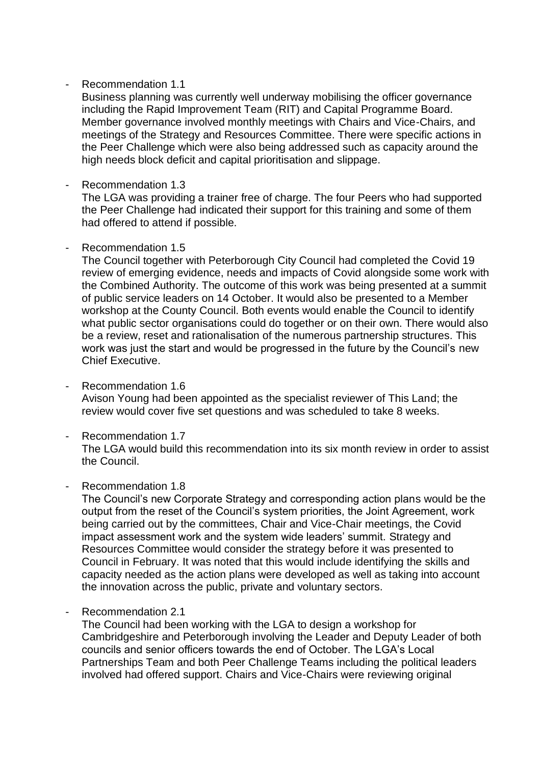#### - Recommendation 1.1

Business planning was currently well underway mobilising the officer governance including the Rapid Improvement Team (RIT) and Capital Programme Board. Member governance involved monthly meetings with Chairs and Vice-Chairs, and meetings of the Strategy and Resources Committee. There were specific actions in the Peer Challenge which were also being addressed such as capacity around the high needs block deficit and capital prioritisation and slippage.

Recommendation 1.3

The LGA was providing a trainer free of charge. The four Peers who had supported the Peer Challenge had indicated their support for this training and some of them had offered to attend if possible.

#### Recommendation 1.5

The Council together with Peterborough City Council had completed the Covid 19 review of emerging evidence, needs and impacts of Covid alongside some work with the Combined Authority. The outcome of this work was being presented at a summit of public service leaders on 14 October. It would also be presented to a Member workshop at the County Council. Both events would enable the Council to identify what public sector organisations could do together or on their own. There would also be a review, reset and rationalisation of the numerous partnership structures. This work was just the start and would be progressed in the future by the Council's new Chief Executive.

- Recommendation 1.6 Avison Young had been appointed as the specialist reviewer of This Land; the review would cover five set questions and was scheduled to take 8 weeks.
- Recommendation 1.7

The LGA would build this recommendation into its six month review in order to assist the Council.

#### - Recommendation 1.8

The Council's new Corporate Strategy and corresponding action plans would be the output from the reset of the Council's system priorities, the Joint Agreement, work being carried out by the committees, Chair and Vice-Chair meetings, the Covid impact assessment work and the system wide leaders' summit. Strategy and Resources Committee would consider the strategy before it was presented to Council in February. It was noted that this would include identifying the skills and capacity needed as the action plans were developed as well as taking into account the innovation across the public, private and voluntary sectors.

Recommendation 2.1

The Council had been working with the LGA to design a workshop for Cambridgeshire and Peterborough involving the Leader and Deputy Leader of both councils and senior officers towards the end of October. The LGA's Local Partnerships Team and both Peer Challenge Teams including the political leaders involved had offered support. Chairs and Vice-Chairs were reviewing original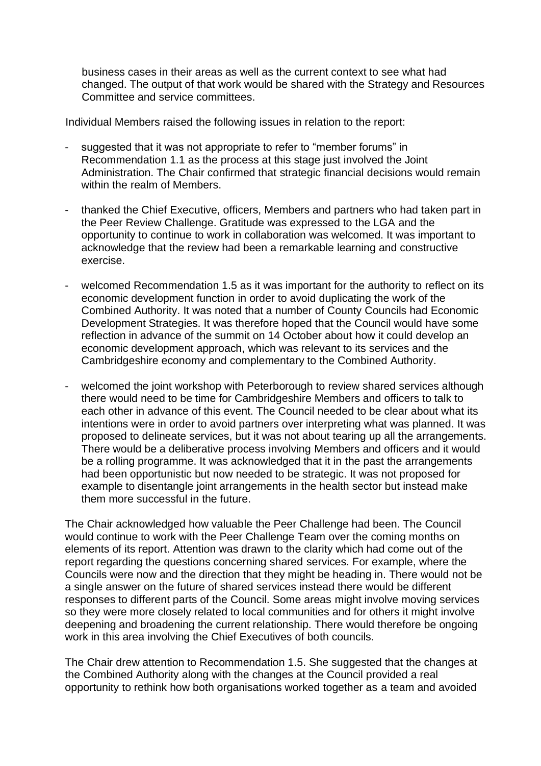business cases in their areas as well as the current context to see what had changed. The output of that work would be shared with the Strategy and Resources Committee and service committees.

Individual Members raised the following issues in relation to the report:

- suggested that it was not appropriate to refer to "member forums" in Recommendation 1.1 as the process at this stage just involved the Joint Administration. The Chair confirmed that strategic financial decisions would remain within the realm of Members.
- thanked the Chief Executive, officers, Members and partners who had taken part in the Peer Review Challenge. Gratitude was expressed to the LGA and the opportunity to continue to work in collaboration was welcomed. It was important to acknowledge that the review had been a remarkable learning and constructive exercise.
- welcomed Recommendation 1.5 as it was important for the authority to reflect on its economic development function in order to avoid duplicating the work of the Combined Authority. It was noted that a number of County Councils had Economic Development Strategies. It was therefore hoped that the Council would have some reflection in advance of the summit on 14 October about how it could develop an economic development approach, which was relevant to its services and the Cambridgeshire economy and complementary to the Combined Authority.
- welcomed the joint workshop with Peterborough to review shared services although there would need to be time for Cambridgeshire Members and officers to talk to each other in advance of this event. The Council needed to be clear about what its intentions were in order to avoid partners over interpreting what was planned. It was proposed to delineate services, but it was not about tearing up all the arrangements. There would be a deliberative process involving Members and officers and it would be a rolling programme. It was acknowledged that it in the past the arrangements had been opportunistic but now needed to be strategic. It was not proposed for example to disentangle joint arrangements in the health sector but instead make them more successful in the future.

The Chair acknowledged how valuable the Peer Challenge had been. The Council would continue to work with the Peer Challenge Team over the coming months on elements of its report. Attention was drawn to the clarity which had come out of the report regarding the questions concerning shared services. For example, where the Councils were now and the direction that they might be heading in. There would not be a single answer on the future of shared services instead there would be different responses to different parts of the Council. Some areas might involve moving services so they were more closely related to local communities and for others it might involve deepening and broadening the current relationship. There would therefore be ongoing work in this area involving the Chief Executives of both councils.

The Chair drew attention to Recommendation 1.5. She suggested that the changes at the Combined Authority along with the changes at the Council provided a real opportunity to rethink how both organisations worked together as a team and avoided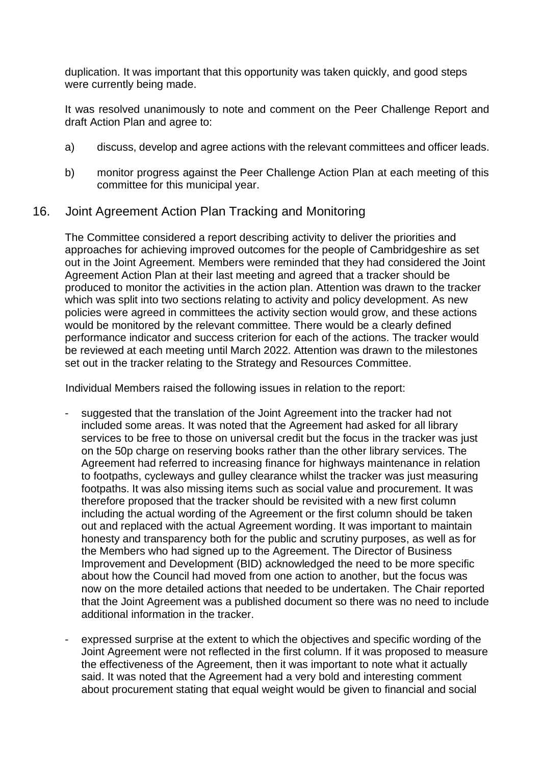duplication. It was important that this opportunity was taken quickly, and good steps were currently being made.

It was resolved unanimously to note and comment on the Peer Challenge Report and draft Action Plan and agree to:

- a) discuss, develop and agree actions with the relevant committees and officer leads.
- b) monitor progress against the Peer Challenge Action Plan at each meeting of this committee for this municipal year.

### 16. Joint Agreement Action Plan Tracking and Monitoring

The Committee considered a report describing activity to deliver the priorities and approaches for achieving improved outcomes for the people of Cambridgeshire as set out in the Joint Agreement. Members were reminded that they had considered the Joint Agreement Action Plan at their last meeting and agreed that a tracker should be produced to monitor the activities in the action plan. Attention was drawn to the tracker which was split into two sections relating to activity and policy development. As new policies were agreed in committees the activity section would grow, and these actions would be monitored by the relevant committee. There would be a clearly defined performance indicator and success criterion for each of the actions. The tracker would be reviewed at each meeting until March 2022. Attention was drawn to the milestones set out in the tracker relating to the Strategy and Resources Committee.

Individual Members raised the following issues in relation to the report:

- suggested that the translation of the Joint Agreement into the tracker had not included some areas. It was noted that the Agreement had asked for all library services to be free to those on universal credit but the focus in the tracker was just on the 50p charge on reserving books rather than the other library services. The Agreement had referred to increasing finance for highways maintenance in relation to footpaths, cycleways and gulley clearance whilst the tracker was just measuring footpaths. It was also missing items such as social value and procurement. It was therefore proposed that the tracker should be revisited with a new first column including the actual wording of the Agreement or the first column should be taken out and replaced with the actual Agreement wording. It was important to maintain honesty and transparency both for the public and scrutiny purposes, as well as for the Members who had signed up to the Agreement. The Director of Business Improvement and Development (BID) acknowledged the need to be more specific about how the Council had moved from one action to another, but the focus was now on the more detailed actions that needed to be undertaken. The Chair reported that the Joint Agreement was a published document so there was no need to include additional information in the tracker.
- expressed surprise at the extent to which the objectives and specific wording of the Joint Agreement were not reflected in the first column. If it was proposed to measure the effectiveness of the Agreement, then it was important to note what it actually said. It was noted that the Agreement had a very bold and interesting comment about procurement stating that equal weight would be given to financial and social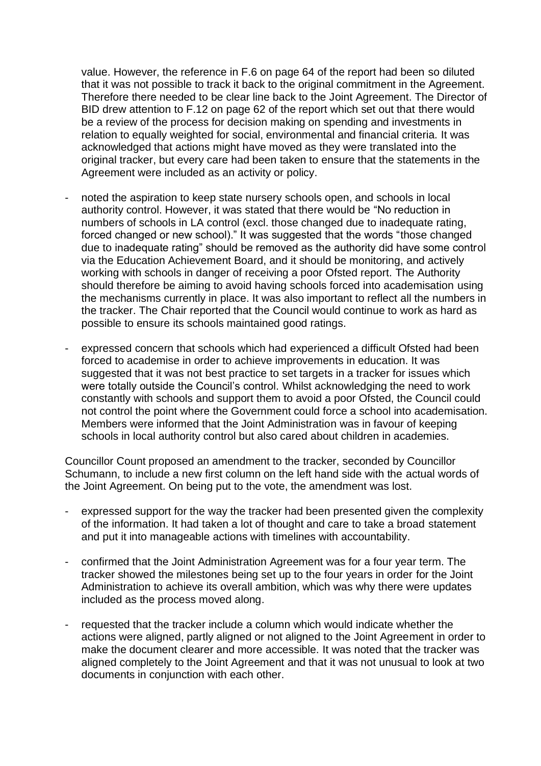value. However, the reference in F.6 on page 64 of the report had been so diluted that it was not possible to track it back to the original commitment in the Agreement. Therefore there needed to be clear line back to the Joint Agreement. The Director of BID drew attention to F.12 on page 62 of the report which set out that there would be a review of the process for decision making on spending and investments in relation to equally weighted for social, environmental and financial criteria. It was acknowledged that actions might have moved as they were translated into the original tracker, but every care had been taken to ensure that the statements in the Agreement were included as an activity or policy.

- noted the aspiration to keep state nursery schools open, and schools in local authority control. However, it was stated that there would be "No reduction in numbers of schools in LA control (excl. those changed due to inadequate rating, forced changed or new school)." It was suggested that the words "those changed due to inadequate rating" should be removed as the authority did have some control via the Education Achievement Board, and it should be monitoring, and actively working with schools in danger of receiving a poor Ofsted report. The Authority should therefore be aiming to avoid having schools forced into academisation using the mechanisms currently in place. It was also important to reflect all the numbers in the tracker. The Chair reported that the Council would continue to work as hard as possible to ensure its schools maintained good ratings.
- expressed concern that schools which had experienced a difficult Ofsted had been forced to academise in order to achieve improvements in education. It was suggested that it was not best practice to set targets in a tracker for issues which were totally outside the Council's control. Whilst acknowledging the need to work constantly with schools and support them to avoid a poor Ofsted, the Council could not control the point where the Government could force a school into academisation. Members were informed that the Joint Administration was in favour of keeping schools in local authority control but also cared about children in academies.

Councillor Count proposed an amendment to the tracker, seconded by Councillor Schumann, to include a new first column on the left hand side with the actual words of the Joint Agreement. On being put to the vote, the amendment was lost.

- expressed support for the way the tracker had been presented given the complexity of the information. It had taken a lot of thought and care to take a broad statement and put it into manageable actions with timelines with accountability.
- confirmed that the Joint Administration Agreement was for a four year term. The tracker showed the milestones being set up to the four years in order for the Joint Administration to achieve its overall ambition, which was why there were updates included as the process moved along.
- requested that the tracker include a column which would indicate whether the actions were aligned, partly aligned or not aligned to the Joint Agreement in order to make the document clearer and more accessible. It was noted that the tracker was aligned completely to the Joint Agreement and that it was not unusual to look at two documents in conjunction with each other.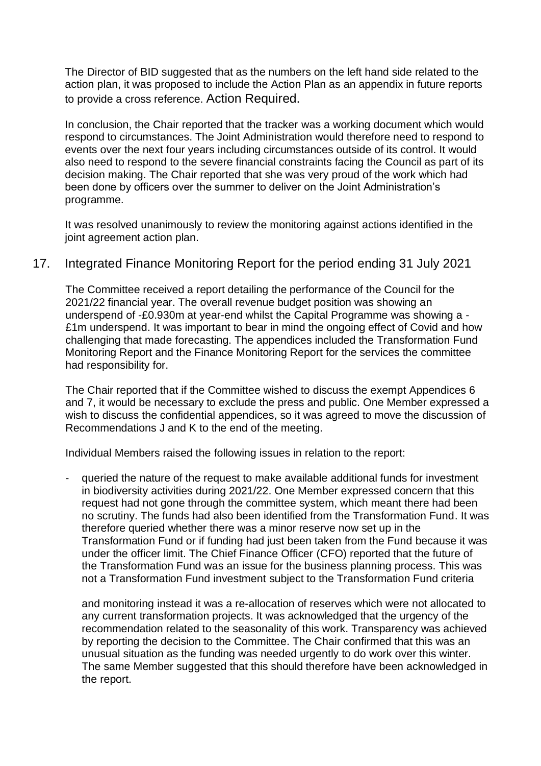The Director of BID suggested that as the numbers on the left hand side related to the action plan, it was proposed to include the Action Plan as an appendix in future reports to provide a cross reference. Action Required.

In conclusion, the Chair reported that the tracker was a working document which would respond to circumstances. The Joint Administration would therefore need to respond to events over the next four years including circumstances outside of its control. It would also need to respond to the severe financial constraints facing the Council as part of its decision making. The Chair reported that she was very proud of the work which had been done by officers over the summer to deliver on the Joint Administration's programme.

It was resolved unanimously to review the monitoring against actions identified in the joint agreement action plan.

### 17. Integrated Finance Monitoring Report for the period ending 31 July 2021

The Committee received a report detailing the performance of the Council for the 2021/22 financial year. The overall revenue budget position was showing an underspend of -£0.930m at year-end whilst the Capital Programme was showing a - £1m underspend. It was important to bear in mind the ongoing effect of Covid and how challenging that made forecasting. The appendices included the Transformation Fund Monitoring Report and the Finance Monitoring Report for the services the committee had responsibility for.

The Chair reported that if the Committee wished to discuss the exempt Appendices 6 and 7, it would be necessary to exclude the press and public. One Member expressed a wish to discuss the confidential appendices, so it was agreed to move the discussion of Recommendations J and K to the end of the meeting.

Individual Members raised the following issues in relation to the report:

- queried the nature of the request to make available additional funds for investment in biodiversity activities during 2021/22. One Member expressed concern that this request had not gone through the committee system, which meant there had been no scrutiny. The funds had also been identified from the Transformation Fund. It was therefore queried whether there was a minor reserve now set up in the Transformation Fund or if funding had just been taken from the Fund because it was under the officer limit. The Chief Finance Officer (CFO) reported that the future of the Transformation Fund was an issue for the business planning process. This was not a Transformation Fund investment subject to the Transformation Fund criteria

and monitoring instead it was a re-allocation of reserves which were not allocated to any current transformation projects. It was acknowledged that the urgency of the recommendation related to the seasonality of this work. Transparency was achieved by reporting the decision to the Committee. The Chair confirmed that this was an unusual situation as the funding was needed urgently to do work over this winter. The same Member suggested that this should therefore have been acknowledged in the report.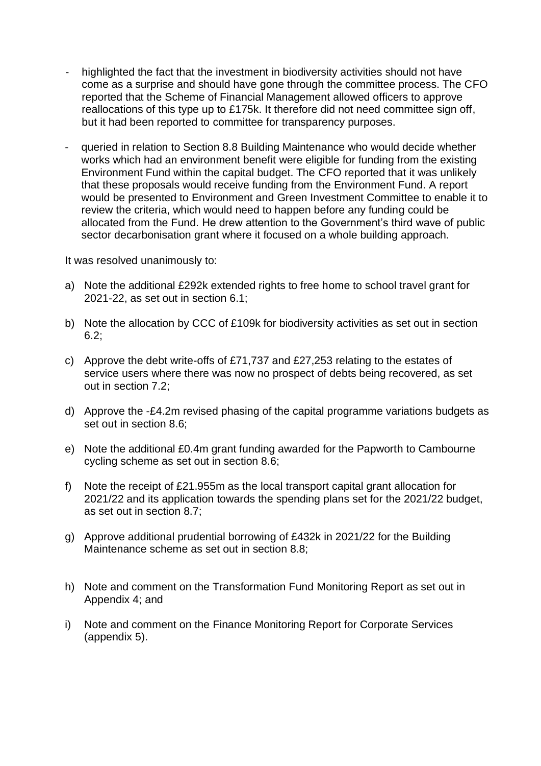- highlighted the fact that the investment in biodiversity activities should not have come as a surprise and should have gone through the committee process. The CFO reported that the Scheme of Financial Management allowed officers to approve reallocations of this type up to £175k. It therefore did not need committee sign off, but it had been reported to committee for transparency purposes.
- queried in relation to Section 8.8 Building Maintenance who would decide whether works which had an environment benefit were eligible for funding from the existing Environment Fund within the capital budget. The CFO reported that it was unlikely that these proposals would receive funding from the Environment Fund. A report would be presented to Environment and Green Investment Committee to enable it to review the criteria, which would need to happen before any funding could be allocated from the Fund. He drew attention to the Government's third wave of public sector decarbonisation grant where it focused on a whole building approach.

It was resolved unanimously to:

- a) Note the additional £292k extended rights to free home to school travel grant for 2021-22, as set out in section 6.1;
- b) Note the allocation by CCC of £109k for biodiversity activities as set out in section 6.2;
- c) Approve the debt write-offs of £71,737 and £27,253 relating to the estates of service users where there was now no prospect of debts being recovered, as set out in section 7.2;
- d) Approve the -£4.2m revised phasing of the capital programme variations budgets as set out in section 8.6;
- e) Note the additional £0.4m grant funding awarded for the Papworth to Cambourne cycling scheme as set out in section 8.6;
- f) Note the receipt of £21.955m as the local transport capital grant allocation for 2021/22 and its application towards the spending plans set for the 2021/22 budget, as set out in section 8.7;
- g) Approve additional prudential borrowing of £432k in 2021/22 for the Building Maintenance scheme as set out in section 8.8;
- h) Note and comment on the Transformation Fund Monitoring Report as set out in Appendix 4; and
- i) Note and comment on the Finance Monitoring Report for Corporate Services (appendix 5).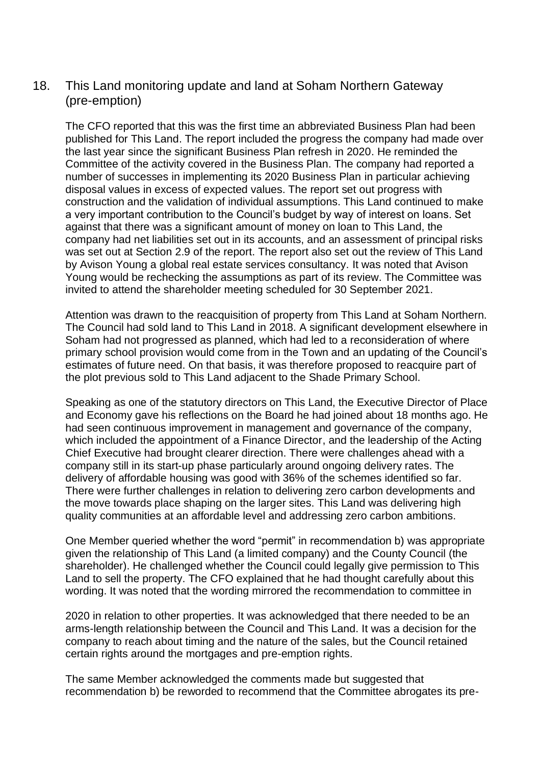# 18. This Land monitoring update and land at Soham Northern Gateway (pre-emption)

The CFO reported that this was the first time an abbreviated Business Plan had been published for This Land. The report included the progress the company had made over the last year since the significant Business Plan refresh in 2020. He reminded the Committee of the activity covered in the Business Plan. The company had reported a number of successes in implementing its 2020 Business Plan in particular achieving disposal values in excess of expected values. The report set out progress with construction and the validation of individual assumptions. This Land continued to make a very important contribution to the Council's budget by way of interest on loans. Set against that there was a significant amount of money on loan to This Land, the company had net liabilities set out in its accounts, and an assessment of principal risks was set out at Section 2.9 of the report. The report also set out the review of This Land by Avison Young a global real estate services consultancy. It was noted that Avison Young would be rechecking the assumptions as part of its review. The Committee was invited to attend the shareholder meeting scheduled for 30 September 2021.

Attention was drawn to the reacquisition of property from This Land at Soham Northern. The Council had sold land to This Land in 2018. A significant development elsewhere in Soham had not progressed as planned, which had led to a reconsideration of where primary school provision would come from in the Town and an updating of the Council's estimates of future need. On that basis, it was therefore proposed to reacquire part of the plot previous sold to This Land adjacent to the Shade Primary School.

Speaking as one of the statutory directors on This Land, the Executive Director of Place and Economy gave his reflections on the Board he had joined about 18 months ago. He had seen continuous improvement in management and governance of the company, which included the appointment of a Finance Director, and the leadership of the Acting Chief Executive had brought clearer direction. There were challenges ahead with a company still in its start-up phase particularly around ongoing delivery rates. The delivery of affordable housing was good with 36% of the schemes identified so far. There were further challenges in relation to delivering zero carbon developments and the move towards place shaping on the larger sites. This Land was delivering high quality communities at an affordable level and addressing zero carbon ambitions.

One Member queried whether the word "permit" in recommendation b) was appropriate given the relationship of This Land (a limited company) and the County Council (the shareholder). He challenged whether the Council could legally give permission to This Land to sell the property. The CFO explained that he had thought carefully about this wording. It was noted that the wording mirrored the recommendation to committee in

2020 in relation to other properties. It was acknowledged that there needed to be an arms-length relationship between the Council and This Land. It was a decision for the company to reach about timing and the nature of the sales, but the Council retained certain rights around the mortgages and pre-emption rights.

The same Member acknowledged the comments made but suggested that recommendation b) be reworded to recommend that the Committee abrogates its pre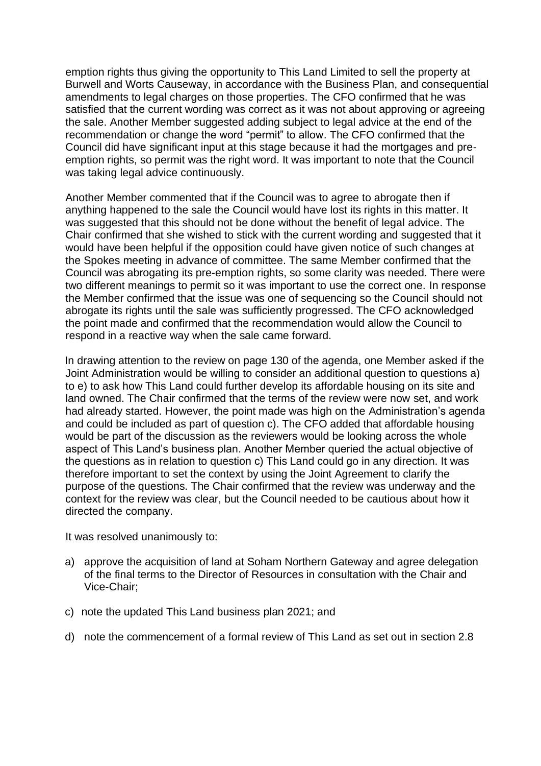emption rights thus giving the opportunity to This Land Limited to sell the property at Burwell and Worts Causeway, in accordance with the Business Plan, and consequential amendments to legal charges on those properties. The CFO confirmed that he was satisfied that the current wording was correct as it was not about approving or agreeing the sale. Another Member suggested adding subject to legal advice at the end of the recommendation or change the word "permit" to allow. The CFO confirmed that the Council did have significant input at this stage because it had the mortgages and preemption rights, so permit was the right word. It was important to note that the Council was taking legal advice continuously.

Another Member commented that if the Council was to agree to abrogate then if anything happened to the sale the Council would have lost its rights in this matter. It was suggested that this should not be done without the benefit of legal advice. The Chair confirmed that she wished to stick with the current wording and suggested that it would have been helpful if the opposition could have given notice of such changes at the Spokes meeting in advance of committee. The same Member confirmed that the Council was abrogating its pre-emption rights, so some clarity was needed. There were two different meanings to permit so it was important to use the correct one. In response the Member confirmed that the issue was one of sequencing so the Council should not abrogate its rights until the sale was sufficiently progressed. The CFO acknowledged the point made and confirmed that the recommendation would allow the Council to respond in a reactive way when the sale came forward.

In drawing attention to the review on page 130 of the agenda, one Member asked if the Joint Administration would be willing to consider an additional question to questions a) to e) to ask how This Land could further develop its affordable housing on its site and land owned. The Chair confirmed that the terms of the review were now set, and work had already started. However, the point made was high on the Administration's agenda and could be included as part of question c). The CFO added that affordable housing would be part of the discussion as the reviewers would be looking across the whole aspect of This Land's business plan. Another Member queried the actual objective of the questions as in relation to question c) This Land could go in any direction. It was therefore important to set the context by using the Joint Agreement to clarify the purpose of the questions. The Chair confirmed that the review was underway and the context for the review was clear, but the Council needed to be cautious about how it directed the company.

It was resolved unanimously to:

- a) approve the acquisition of land at Soham Northern Gateway and agree delegation of the final terms to the Director of Resources in consultation with the Chair and Vice-Chair;
- c) note the updated This Land business plan 2021; and
- d) note the commencement of a formal review of This Land as set out in section 2.8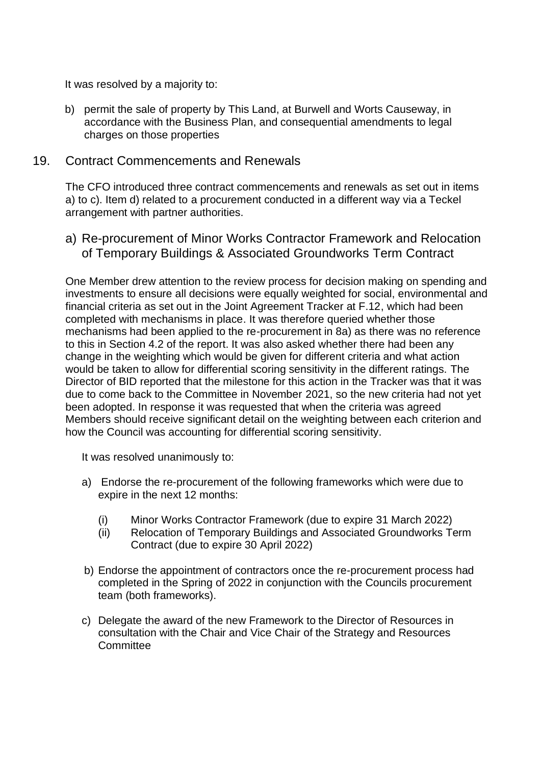It was resolved by a majority to:

b) permit the sale of property by This Land, at Burwell and Worts Causeway, in accordance with the Business Plan, and consequential amendments to legal charges on those properties

#### 19. Contract Commencements and Renewals

The CFO introduced three contract commencements and renewals as set out in items a) to c). Item d) related to a procurement conducted in a different way via a Teckel arrangement with partner authorities.

a) Re-procurement of Minor Works Contractor Framework and Relocation of Temporary Buildings & Associated Groundworks Term Contract

One Member drew attention to the review process for decision making on spending and investments to ensure all decisions were equally weighted for social, environmental and financial criteria as set out in the Joint Agreement Tracker at F.12, which had been completed with mechanisms in place. It was therefore queried whether those mechanisms had been applied to the re-procurement in 8a) as there was no reference to this in Section 4.2 of the report. It was also asked whether there had been any change in the weighting which would be given for different criteria and what action would be taken to allow for differential scoring sensitivity in the different ratings. The Director of BID reported that the milestone for this action in the Tracker was that it was due to come back to the Committee in November 2021, so the new criteria had not yet been adopted. In response it was requested that when the criteria was agreed Members should receive significant detail on the weighting between each criterion and how the Council was accounting for differential scoring sensitivity.

It was resolved unanimously to:

- a) Endorse the re-procurement of the following frameworks which were due to expire in the next 12 months:
	- (i) Minor Works Contractor Framework (due to expire 31 March 2022)
	- (ii) Relocation of Temporary Buildings and Associated Groundworks Term Contract (due to expire 30 April 2022)
- b) Endorse the appointment of contractors once the re-procurement process had completed in the Spring of 2022 in conjunction with the Councils procurement team (both frameworks).
- c) Delegate the award of the new Framework to the Director of Resources in consultation with the Chair and Vice Chair of the Strategy and Resources **Committee**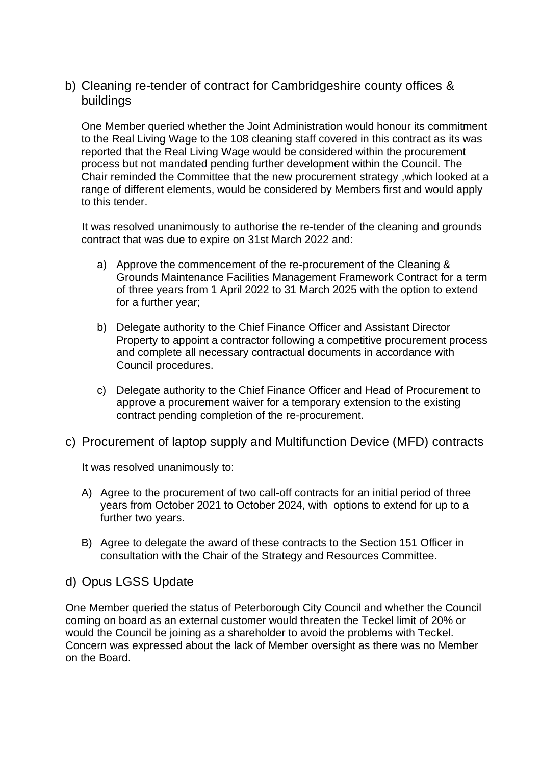# b) Cleaning re-tender of contract for Cambridgeshire county offices & buildings

One Member queried whether the Joint Administration would honour its commitment to the Real Living Wage to the 108 cleaning staff covered in this contract as its was reported that the Real Living Wage would be considered within the procurement process but not mandated pending further development within the Council. The Chair reminded the Committee that the new procurement strategy ,which looked at a range of different elements, would be considered by Members first and would apply to this tender.

It was resolved unanimously to authorise the re-tender of the cleaning and grounds contract that was due to expire on 31st March 2022 and:

- a) Approve the commencement of the re-procurement of the Cleaning & Grounds Maintenance Facilities Management Framework Contract for a term of three years from 1 April 2022 to 31 March 2025 with the option to extend for a further year;
- b) Delegate authority to the Chief Finance Officer and Assistant Director Property to appoint a contractor following a competitive procurement process and complete all necessary contractual documents in accordance with Council procedures.
- c) Delegate authority to the Chief Finance Officer and Head of Procurement to approve a procurement waiver for a temporary extension to the existing contract pending completion of the re-procurement.
- c) Procurement of laptop supply and Multifunction Device (MFD) contracts

It was resolved unanimously to:

- A) Agree to the procurement of two call-off contracts for an initial period of three years from October 2021 to October 2024, with options to extend for up to a further two years.
- B) Agree to delegate the award of these contracts to the Section 151 Officer in consultation with the Chair of the Strategy and Resources Committee.

### d) Opus LGSS Update

One Member queried the status of Peterborough City Council and whether the Council coming on board as an external customer would threaten the Teckel limit of 20% or would the Council be joining as a shareholder to avoid the problems with Teckel. Concern was expressed about the lack of Member oversight as there was no Member on the Board.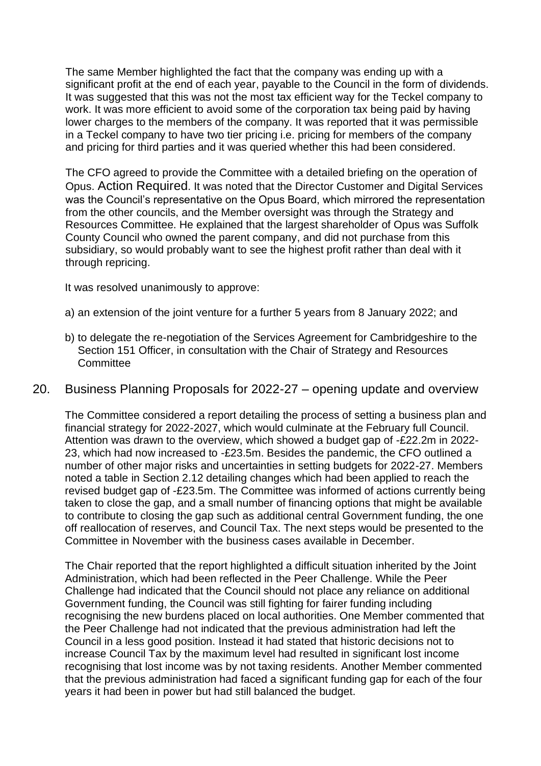The same Member highlighted the fact that the company was ending up with a significant profit at the end of each year, payable to the Council in the form of dividends. It was suggested that this was not the most tax efficient way for the Teckel company to work. It was more efficient to avoid some of the corporation tax being paid by having lower charges to the members of the company. It was reported that it was permissible in a Teckel company to have two tier pricing i.e. pricing for members of the company and pricing for third parties and it was queried whether this had been considered.

The CFO agreed to provide the Committee with a detailed briefing on the operation of Opus. Action Required. It was noted that the Director Customer and Digital Services was the Council's representative on the Opus Board, which mirrored the representation from the other councils, and the Member oversight was through the Strategy and Resources Committee. He explained that the largest shareholder of Opus was Suffolk County Council who owned the parent company, and did not purchase from this subsidiary, so would probably want to see the highest profit rather than deal with it through repricing.

It was resolved unanimously to approve:

- a) an extension of the joint venture for a further 5 years from 8 January 2022; and
- b) to delegate the re-negotiation of the Services Agreement for Cambridgeshire to the Section 151 Officer, in consultation with the Chair of Strategy and Resources **Committee**
- 20. Business Planning Proposals for 2022-27 opening update and overview

The Committee considered a report detailing the process of setting a business plan and financial strategy for 2022-2027, which would culminate at the February full Council. Attention was drawn to the overview, which showed a budget gap of -£22.2m in 2022- 23, which had now increased to -£23.5m. Besides the pandemic, the CFO outlined a number of other major risks and uncertainties in setting budgets for 2022-27. Members noted a table in Section 2.12 detailing changes which had been applied to reach the revised budget gap of -£23.5m. The Committee was informed of actions currently being taken to close the gap, and a small number of financing options that might be available to contribute to closing the gap such as additional central Government funding, the one off reallocation of reserves, and Council Tax. The next steps would be presented to the Committee in November with the business cases available in December.

The Chair reported that the report highlighted a difficult situation inherited by the Joint Administration, which had been reflected in the Peer Challenge. While the Peer Challenge had indicated that the Council should not place any reliance on additional Government funding, the Council was still fighting for fairer funding including recognising the new burdens placed on local authorities. One Member commented that the Peer Challenge had not indicated that the previous administration had left the Council in a less good position. Instead it had stated that historic decisions not to increase Council Tax by the maximum level had resulted in significant lost income recognising that lost income was by not taxing residents. Another Member commented that the previous administration had faced a significant funding gap for each of the four years it had been in power but had still balanced the budget.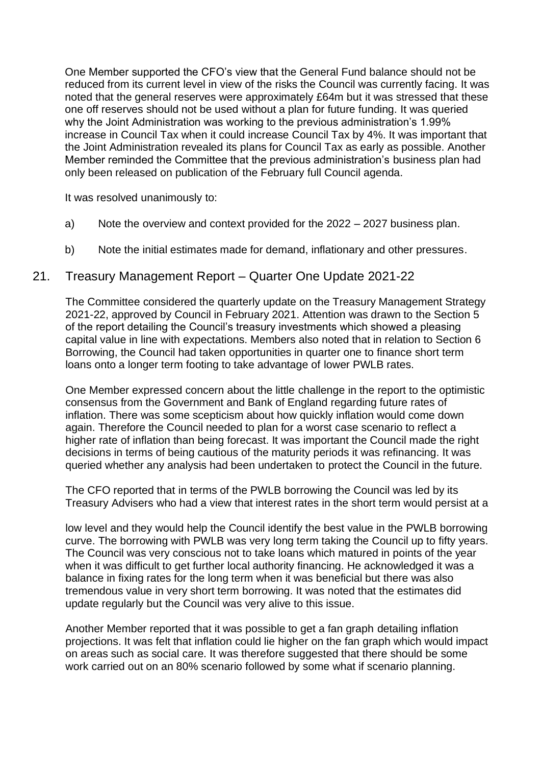One Member supported the CFO's view that the General Fund balance should not be reduced from its current level in view of the risks the Council was currently facing. It was noted that the general reserves were approximately £64m but it was stressed that these one off reserves should not be used without a plan for future funding. It was queried why the Joint Administration was working to the previous administration's 1.99% increase in Council Tax when it could increase Council Tax by 4%. It was important that the Joint Administration revealed its plans for Council Tax as early as possible. Another Member reminded the Committee that the previous administration's business plan had only been released on publication of the February full Council agenda.

It was resolved unanimously to:

- a) Note the overview and context provided for the 2022 2027 business plan.
- b) Note the initial estimates made for demand, inflationary and other pressures.

### 21. Treasury Management Report – Quarter One Update 2021-22

The Committee considered the quarterly update on the Treasury Management Strategy 2021-22, approved by Council in February 2021. Attention was drawn to the Section 5 of the report detailing the Council's treasury investments which showed a pleasing capital value in line with expectations. Members also noted that in relation to Section 6 Borrowing, the Council had taken opportunities in quarter one to finance short term loans onto a longer term footing to take advantage of lower PWLB rates.

One Member expressed concern about the little challenge in the report to the optimistic consensus from the Government and Bank of England regarding future rates of inflation. There was some scepticism about how quickly inflation would come down again. Therefore the Council needed to plan for a worst case scenario to reflect a higher rate of inflation than being forecast. It was important the Council made the right decisions in terms of being cautious of the maturity periods it was refinancing. It was queried whether any analysis had been undertaken to protect the Council in the future.

The CFO reported that in terms of the PWLB borrowing the Council was led by its Treasury Advisers who had a view that interest rates in the short term would persist at a

low level and they would help the Council identify the best value in the PWLB borrowing curve. The borrowing with PWLB was very long term taking the Council up to fifty years. The Council was very conscious not to take loans which matured in points of the year when it was difficult to get further local authority financing. He acknowledged it was a balance in fixing rates for the long term when it was beneficial but there was also tremendous value in very short term borrowing. It was noted that the estimates did update regularly but the Council was very alive to this issue.

Another Member reported that it was possible to get a fan graph detailing inflation projections. It was felt that inflation could lie higher on the fan graph which would impact on areas such as social care. It was therefore suggested that there should be some work carried out on an 80% scenario followed by some what if scenario planning.